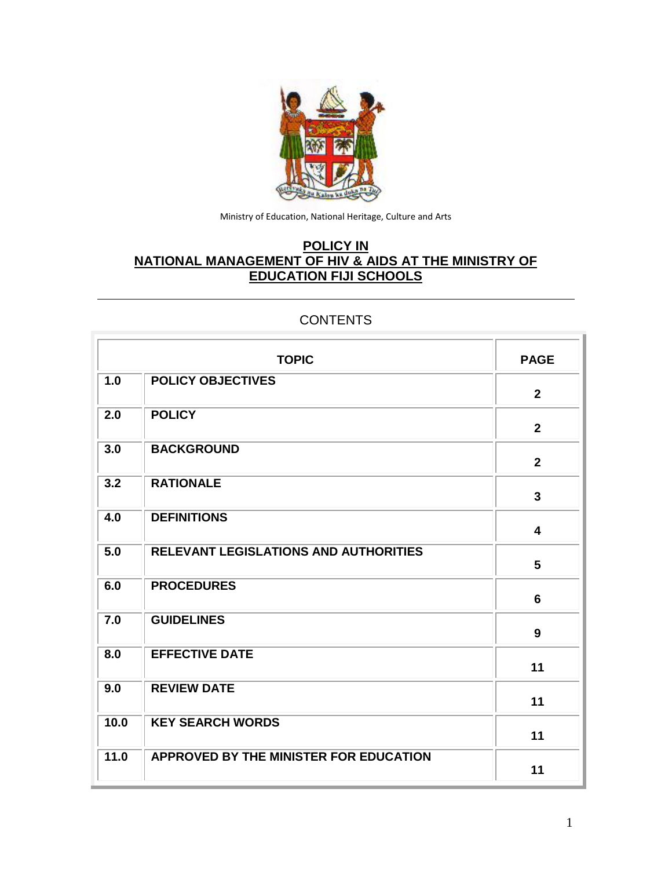

Ministry of Education, National Heritage, Culture and Arts

# **POLICY IN NATIONAL MANAGEMENT OF HIV & AIDS AT THE MINISTRY OF EDUCATION FIJI SCHOOLS**

# **TOPIC PAGE 1.0 POLICY OBJECTIVES 2 2.0 POLICY 2 3.0 BACKGROUND 2 3.2 RATIONALE 3 4.0 DEFINITIONS 4 5.0 RELEVANT LEGISLATIONS AND AUTHORITIES 5 6.0 PROCEDURES 6 7.0 GUIDELINES 9 8.0 EFFECTIVE DATE 11 9.0 REVIEW DATE 11 10.0 KEY SEARCH WORDS 11 11.0 APPROVED BY THE MINISTER FOR EDUCATION 11**

#### **CONTENTS**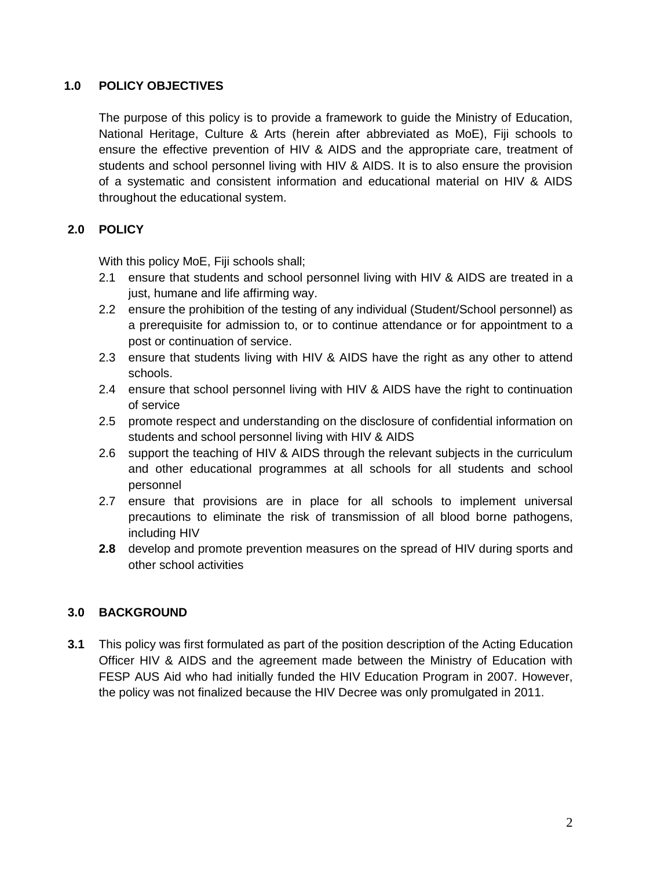## **1.0 POLICY OBJECTIVES**

The purpose of this policy is to provide a framework to guide the Ministry of Education, National Heritage, Culture & Arts (herein after abbreviated as MoE), Fiji schools to ensure the effective prevention of HIV & AIDS and the appropriate care, treatment of students and school personnel living with HIV & AIDS. It is to also ensure the provision of a systematic and consistent information and educational material on HIV & AIDS throughout the educational system.

# **2.0 POLICY**

With this policy MoE, Fiji schools shall;

- 2.1 ensure that students and school personnel living with HIV & AIDS are treated in a just, humane and life affirming way.
- 2.2 ensure the prohibition of the testing of any individual (Student/School personnel) as a prerequisite for admission to, or to continue attendance or for appointment to a post or continuation of service.
- 2.3 ensure that students living with HIV & AIDS have the right as any other to attend schools.
- 2.4 ensure that school personnel living with HIV & AIDS have the right to continuation of service
- 2.5 promote respect and understanding on the disclosure of confidential information on students and school personnel living with HIV & AIDS
- 2.6 support the teaching of HIV & AIDS through the relevant subjects in the curriculum and other educational programmes at all schools for all students and school personnel
- 2.7 ensure that provisions are in place for all schools to implement universal precautions to eliminate the risk of transmission of all blood borne pathogens, including HIV
- **2.8** develop and promote prevention measures on the spread of HIV during sports and other school activities

# **3.0 BACKGROUND**

**3.1** This policy was first formulated as part of the position description of the Acting Education Officer HIV & AIDS and the agreement made between the Ministry of Education with FESP AUS Aid who had initially funded the HIV Education Program in 2007. However, the policy was not finalized because the HIV Decree was only promulgated in 2011.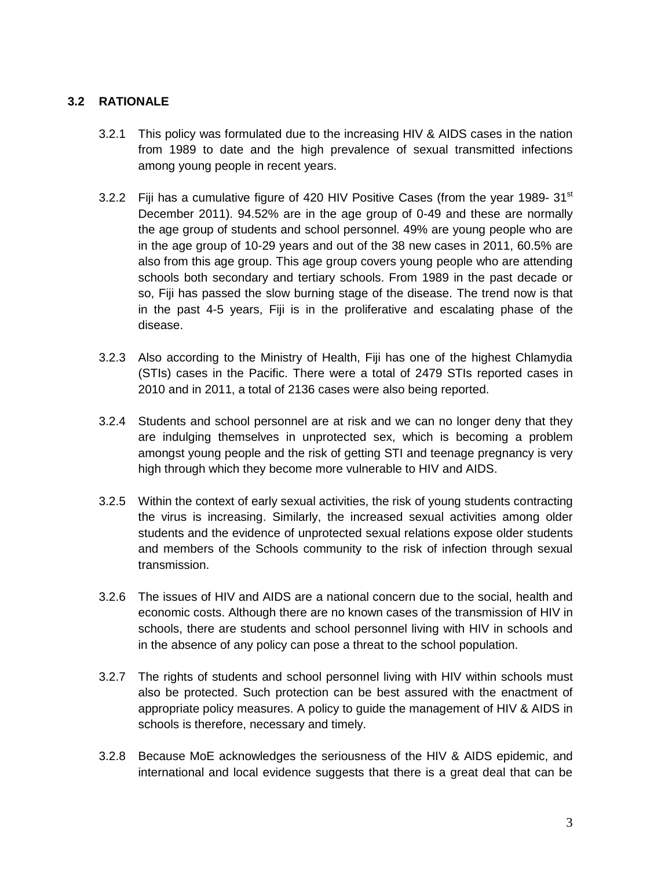# **3.2 RATIONALE**

- 3.2.1 This policy was formulated due to the increasing HIV & AIDS cases in the nation from 1989 to date and the high prevalence of sexual transmitted infections among young people in recent years.
- 3.2.2 Fiji has a cumulative figure of 420 HIV Positive Cases (from the year 1989- 31 $^{\rm st}$ December 2011). 94.52% are in the age group of 0-49 and these are normally the age group of students and school personnel. 49% are young people who are in the age group of 10-29 years and out of the 38 new cases in 2011, 60.5% are also from this age group. This age group covers young people who are attending schools both secondary and tertiary schools. From 1989 in the past decade or so, Fiji has passed the slow burning stage of the disease. The trend now is that in the past 4-5 years, Fiji is in the proliferative and escalating phase of the disease.
- 3.2.3 Also according to the Ministry of Health, Fiji has one of the highest Chlamydia (STIs) cases in the Pacific. There were a total of 2479 STIs reported cases in 2010 and in 2011, a total of 2136 cases were also being reported.
- 3.2.4 Students and school personnel are at risk and we can no longer deny that they are indulging themselves in unprotected sex, which is becoming a problem amongst young people and the risk of getting STI and teenage pregnancy is very high through which they become more vulnerable to HIV and AIDS.
- 3.2.5 Within the context of early sexual activities, the risk of young students contracting the virus is increasing. Similarly, the increased sexual activities among older students and the evidence of unprotected sexual relations expose older students and members of the Schools community to the risk of infection through sexual transmission.
- 3.2.6 The issues of HIV and AIDS are a national concern due to the social, health and economic costs. Although there are no known cases of the transmission of HIV in schools, there are students and school personnel living with HIV in schools and in the absence of any policy can pose a threat to the school population.
- 3.2.7 The rights of students and school personnel living with HIV within schools must also be protected. Such protection can be best assured with the enactment of appropriate policy measures. A policy to guide the management of HIV & AIDS in schools is therefore, necessary and timely.
- 3.2.8 Because MoE acknowledges the seriousness of the HIV & AIDS epidemic, and international and local evidence suggests that there is a great deal that can be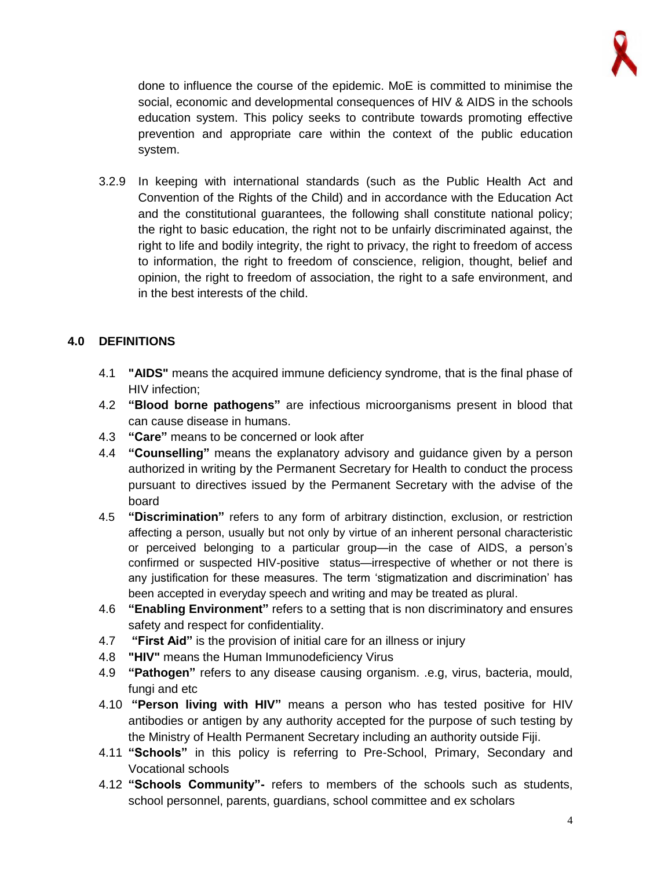

done to influence the course of the epidemic. MoE is committed to minimise the social, economic and developmental consequences of HIV & AIDS in the schools education system. This policy seeks to contribute towards promoting effective prevention and appropriate care within the context of the public education system.

3.2.9 In keeping with international standards (such as the Public Health Act and Convention of the Rights of the Child) and in accordance with the Education Act and the constitutional guarantees, the following shall constitute national policy; the right to basic education, the right not to be unfairly discriminated against, the right to life and bodily integrity, the right to privacy, the right to freedom of access to information, the right to freedom of conscience, religion, thought, belief and opinion, the right to freedom of association, the right to a safe environment, and in the best interests of the child.

# **4.0 DEFINITIONS**

- 4.1 **"AIDS"** means the acquired immune deficiency syndrome, that is the final phase of HIV infection;
- 4.2 **"Blood borne pathogens"** are infectious microorganisms present in blood that can cause disease in humans.
- 4.3 **"Care"** means to be concerned or look after
- 4.4 **"Counselling"** means the explanatory advisory and guidance given by a person authorized in writing by the Permanent Secretary for Health to conduct the process pursuant to directives issued by the Permanent Secretary with the advise of the board
- 4.5 **"Discrimination"** refers to any form of arbitrary distinction, exclusion, or restriction affecting a person, usually but not only by virtue of an inherent personal characteristic or perceived belonging to a particular group—in the case of AIDS, a person's confirmed or suspected HIV-positive status—irrespective of whether or not there is any justification for these measures. The term 'stigmatization and discrimination' has been accepted in everyday speech and writing and may be treated as plural.
- 4.6 **"Enabling Environment"** refers to a setting that is non discriminatory and ensures safety and respect for confidentiality.
- 4.7 **"First Aid"** is the provision of initial care for an [illness](http://en.wikipedia.org/wiki/Illness) or [injury](http://en.wikipedia.org/wiki/Injury)
- 4.8 **"HIV"** means the Human Immunodeficiency Virus
- 4.9 **"Pathogen"** refers to any disease causing organism. .e.g, virus, bacteria, mould, fungi and etc
- 4.10 **"Person living with HIV"** means a person who has tested positive for HIV antibodies or antigen by any authority accepted for the purpose of such testing by the Ministry of Health Permanent Secretary including an authority outside Fiji.
- 4.11 **"Schools"** in this policy is referring to Pre-School, Primary, Secondary and Vocational schools
- 4.12 **"Schools Community"-** refers to members of the schools such as students, school personnel, parents, guardians, school committee and ex scholars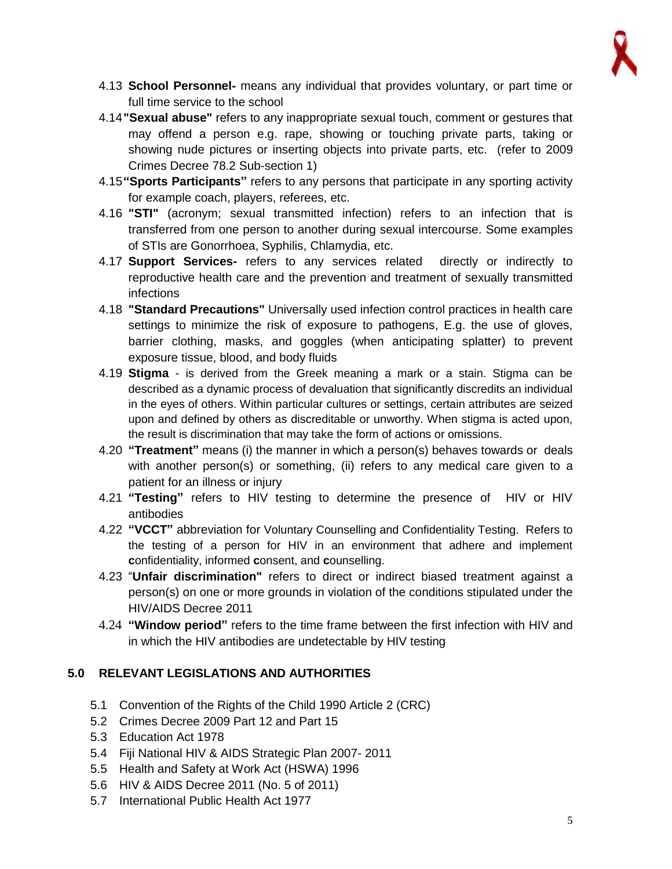

- 4.13 **School Personnel-** means any individual that provides voluntary, or part time or full time service to the school
- 4.14**"Sexual abuse"** refers to any inappropriate sexual touch, comment or gestures that may offend a person e.g. rape, showing or touching private parts, taking or showing nude pictures or inserting objects into private parts, etc. (refer to 2009 Crimes Decree 78.2 Sub-section 1)
- 4.15**"Sports Participants"** refers to any persons that participate in any sporting activity for example coach, players, referees, etc.
- 4.16 **"STI"** (acronym; sexual transmitted infection) refers to an infection that is transferred from one person to another during sexual intercourse. Some examples of STIs are Gonorrhoea, Syphilis, Chlamydia, etc.
- 4.17 **Support Services-** refers to any services related directly or indirectly to reproductive health care and the prevention and treatment of sexually transmitted infections
- 4.18 **"Standard Precautions"** Universally used infection control practices in health care settings to minimize the risk of exposure to pathogens, E.g. the use of gloves, barrier clothing, masks, and goggles (when anticipating splatter) to prevent exposure tissue, blood, and body fluids
- 4.19 **Stigma** is derived from the Greek meaning a mark or a stain. Stigma can be described as a dynamic process of devaluation that significantly discredits an individual in the eyes of others. Within particular cultures or settings, certain attributes are seized upon and defined by others as discreditable or unworthy. When stigma is acted upon, the result is discrimination that may take the form of actions or omissions.
- 4.20 **"Treatment"** means (i) the manner in which a person(s) behaves towards or deals with another person(s) or something, (ii) refers to any medical care given to a patient for an illness or injury
- 4.21 **"Testing"** refers to HIV testing to determine the presence of HIV or HIV antibodies
- 4.22 **"VCCT"** abbreviation for Voluntary Counselling and Confidentiality Testing. Refers to the testing of a person for HIV in an environment that adhere and implement **c**onfidentiality, informed **c**onsent, and **c**ounselling.
- 4.23 "**Unfair discrimination"** refers to direct or indirect biased treatment against a person(s) on one or more grounds in violation of the conditions stipulated under the HIV/AIDS Decree 2011
- 4.24 **"Window period"** refers to the time frame between the first infection with HIV and in which the HIV antibodies are undetectable by HIV testing

# **5.0 RELEVANT LEGISLATIONS AND AUTHORITIES**

- 5.1 Convention of the Rights of the Child 1990 Article 2 (CRC)
- 5.2 Crimes Decree 2009 Part 12 and Part 15
- 5.3 Education Act 1978
- 5.4 Fiji National HIV & AIDS Strategic Plan 2007- 2011
- 5.5 Health and Safety at Work Act (HSWA) 1996
- 5.6 HIV & AIDS Decree 2011 (No. 5 of 2011)
- 5.7 International Public Health Act 1977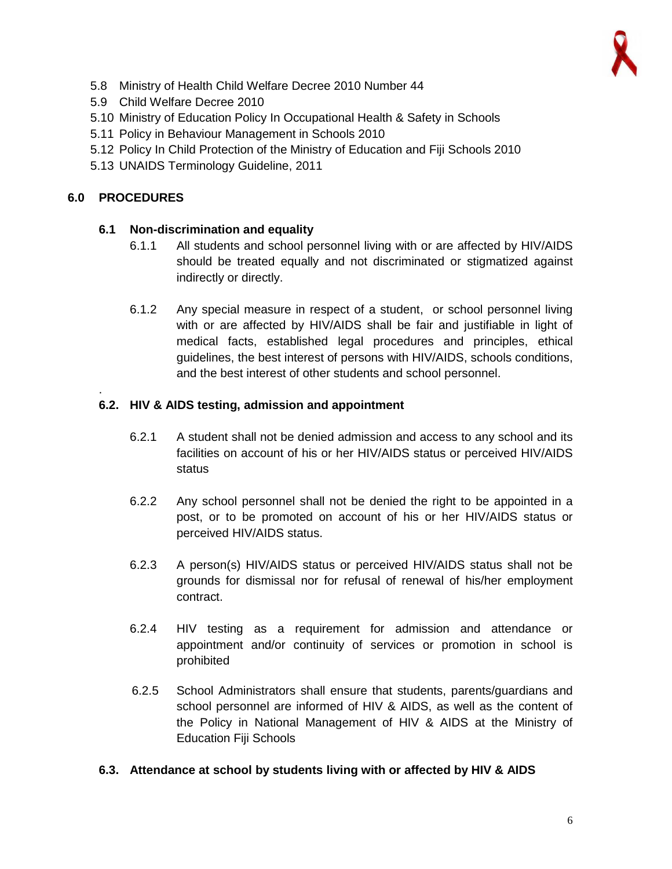- 5.8 Ministry of Health Child Welfare Decree 2010 Number 44
- 5.9 Child Welfare Decree 2010
- 5.10 Ministry of Education Policy In Occupational Health & Safety in Schools
- 5.11 Policy in Behaviour Management in Schools 2010
- 5.12 Policy In Child Protection of the Ministry of Education and Fiji Schools 2010
- 5.13 UNAIDS Terminology Guideline, 2011

#### **6.0 PROCEDURES**

.

#### **6.1 Non-discrimination and equality**

- 6.1.1 All students and school personnel living with or are affected by HIV/AIDS should be treated equally and not discriminated or stigmatized against indirectly or directly.
- 6.1.2 Any special measure in respect of a student, or school personnel living with or are affected by HIV/AIDS shall be fair and justifiable in light of medical facts, established legal procedures and principles, ethical guidelines, the best interest of persons with HIV/AIDS, schools conditions, and the best interest of other students and school personnel.

#### **6.2. HIV & AIDS testing, admission and appointment**

- 6.2.1 A student shall not be denied admission and access to any school and its facilities on account of his or her HIV/AIDS status or perceived HIV/AIDS status
- 6.2.2 Any school personnel shall not be denied the right to be appointed in a post, or to be promoted on account of his or her HIV/AIDS status or perceived HIV/AIDS status.
- 6.2.3 A person(s) HIV/AIDS status or perceived HIV/AIDS status shall not be grounds for dismissal nor for refusal of renewal of his/her employment contract.
- 6.2.4 HIV testing as a requirement for admission and attendance or appointment and/or continuity of services or promotion in school is prohibited
- 6.2.5 School Administrators shall ensure that students, parents/guardians and school personnel are informed of HIV & AIDS, as well as the content of the Policy in National Management of HIV & AIDS at the Ministry of Education Fiji Schools

#### **6.3. Attendance at school by students living with or affected by HIV & AIDS**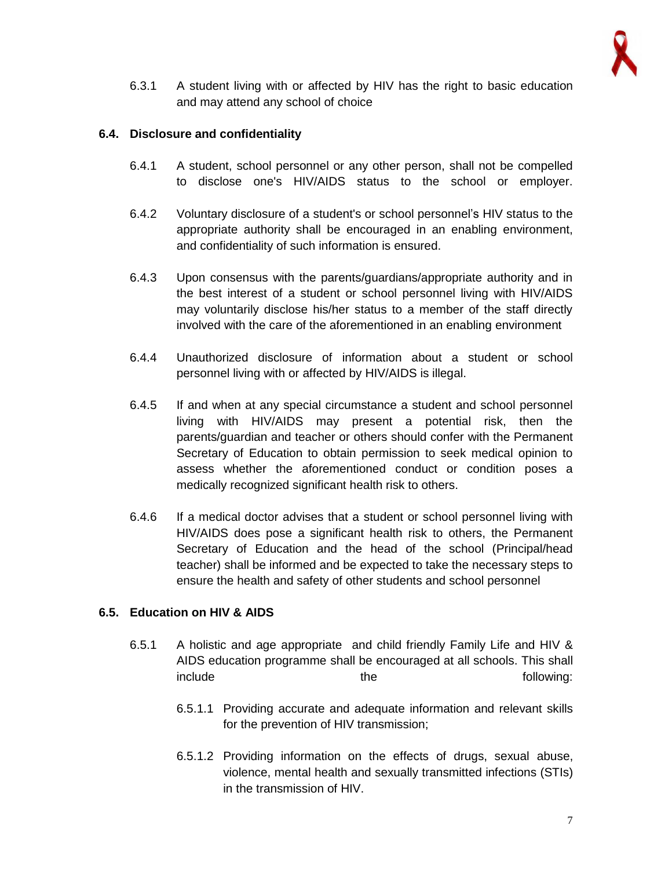

6.3.1 A student living with or affected by HIV has the right to basic education and may attend any school of choice

#### **6.4. Disclosure and confidentiality**

- 6.4.1 A student, school personnel or any other person, shall not be compelled to disclose one's HIV/AIDS status to the school or employer.
- 6.4.2 Voluntary disclosure of a student's or school personnel's HIV status to the appropriate authority shall be encouraged in an enabling environment, and confidentiality of such information is ensured.
- 6.4.3 Upon consensus with the parents/guardians/appropriate authority and in the best interest of a student or school personnel living with HIV/AIDS may voluntarily disclose his/her status to a member of the staff directly involved with the care of the aforementioned in an enabling environment
- 6.4.4 Unauthorized disclosure of information about a student or school personnel living with or affected by HIV/AIDS is illegal.
- 6.4.5 If and when at any special circumstance a student and school personnel living with HIV/AIDS may present a potential risk, then the parents/guardian and teacher or others should confer with the Permanent Secretary of Education to obtain permission to seek medical opinion to assess whether the aforementioned conduct or condition poses a medically recognized significant health risk to others.
- 6.4.6 If a medical doctor advises that a student or school personnel living with HIV/AIDS does pose a significant health risk to others, the Permanent Secretary of Education and the head of the school (Principal/head teacher) shall be informed and be expected to take the necessary steps to ensure the health and safety of other students and school personnel

# **6.5. Education on HIV & AIDS**

- 6.5.1 A holistic and age appropriate and child friendly Family Life and HIV & AIDS education programme shall be encouraged at all schools. This shall include the the following:
	- 6.5.1.1 Providing accurate and adequate information and relevant skills for the prevention of HIV transmission;
	- 6.5.1.2 Providing information on the effects of drugs, sexual abuse, violence, mental health and sexually transmitted infections (STIs) in the transmission of HIV.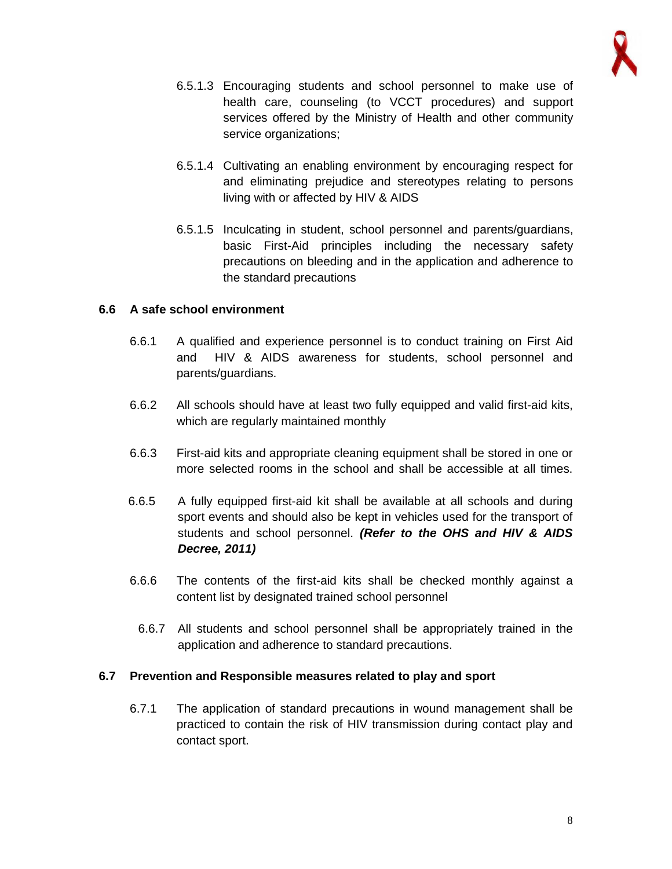

- 6.5.1.3 Encouraging students and school personnel to make use of health care, counseling (to VCCT procedures) and support services offered by the Ministry of Health and other community service organizations:
- 6.5.1.4 Cultivating an enabling environment by encouraging respect for and eliminating prejudice and stereotypes relating to persons living with or affected by HIV & AIDS
- 6.5.1.5 Inculcating in student, school personnel and parents/guardians, basic First-Aid principles including the necessary safety precautions on bleeding and in the application and adherence to the standard precautions

#### **6.6 A safe school environment**

- 6.6.1 A qualified and experience personnel is to conduct training on First Aid and HIV & AIDS awareness for students, school personnel and parents/guardians.
- 6.6.2 All schools should have at least two fully equipped and valid first-aid kits, which are regularly maintained monthly
- 6.6.3 First-aid kits and appropriate cleaning equipment shall be stored in one or more selected rooms in the school and shall be accessible at all times.
- 6.6.5 A fully equipped first-aid kit shall be available at all schools and during sport events and should also be kept in vehicles used for the transport of students and school personnel. *(Refer to the OHS and HIV & AIDS Decree, 2011)*
- 6.6.6 The contents of the first-aid kits shall be checked monthly against a content list by designated trained school personnel
	- 6.6.7 All students and school personnel shall be appropriately trained in the application and adherence to standard precautions.

#### **6.7 Prevention and Responsible measures related to play and sport**

6.7.1 The application of standard precautions in wound management shall be practiced to contain the risk of HIV transmission during contact play and contact sport.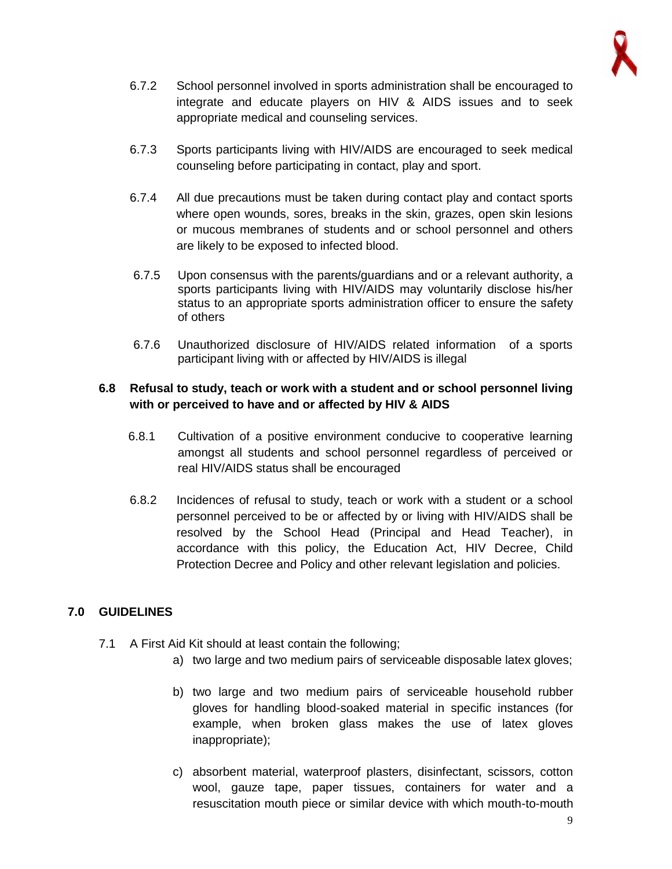

- 6.7.2 School personnel involved in sports administration shall be encouraged to integrate and educate players on HIV & AIDS issues and to seek appropriate medical and counseling services.
- 6.7.3 Sports participants living with HIV/AIDS are encouraged to seek medical counseling before participating in contact, play and sport.
- 6.7.4 All due precautions must be taken during contact play and contact sports where open wounds, sores, breaks in the skin, grazes, open skin lesions or mucous membranes of students and or school personnel and others are likely to be exposed to infected blood.
- 6.7.5 Upon consensus with the parents/guardians and or a relevant authority, a sports participants living with HIV/AIDS may voluntarily disclose his/her status to an appropriate sports administration officer to ensure the safety of others
- 6.7.6 Unauthorized disclosure of HIV/AIDS related information of a sports participant living with or affected by HIV/AIDS is illegal

# **6.8 Refusal to study, teach or work with a student and or school personnel living with or perceived to have and or affected by HIV & AIDS**

- 6.8.1 Cultivation of a positive environment conducive to cooperative learning amongst all students and school personnel regardless of perceived or real HIV/AIDS status shall be encouraged
- 6.8.2 Incidences of refusal to study, teach or work with a student or a school personnel perceived to be or affected by or living with HIV/AIDS shall be resolved by the School Head (Principal and Head Teacher), in accordance with this policy, the Education Act, HIV Decree, Child Protection Decree and Policy and other relevant legislation and policies.

# **7.0 GUIDELINES**

- 7.1 A First Aid Kit should at least contain the following;
	- a) two large and two medium pairs of serviceable disposable latex gloves;
	- b) two large and two medium pairs of serviceable household rubber gloves for handling blood-soaked material in specific instances (for example, when broken glass makes the use of latex gloves inappropriate);
	- c) absorbent material, waterproof plasters, disinfectant, scissors, cotton wool, gauze tape, paper tissues, containers for water and a resuscitation mouth piece or similar device with which mouth-to-mouth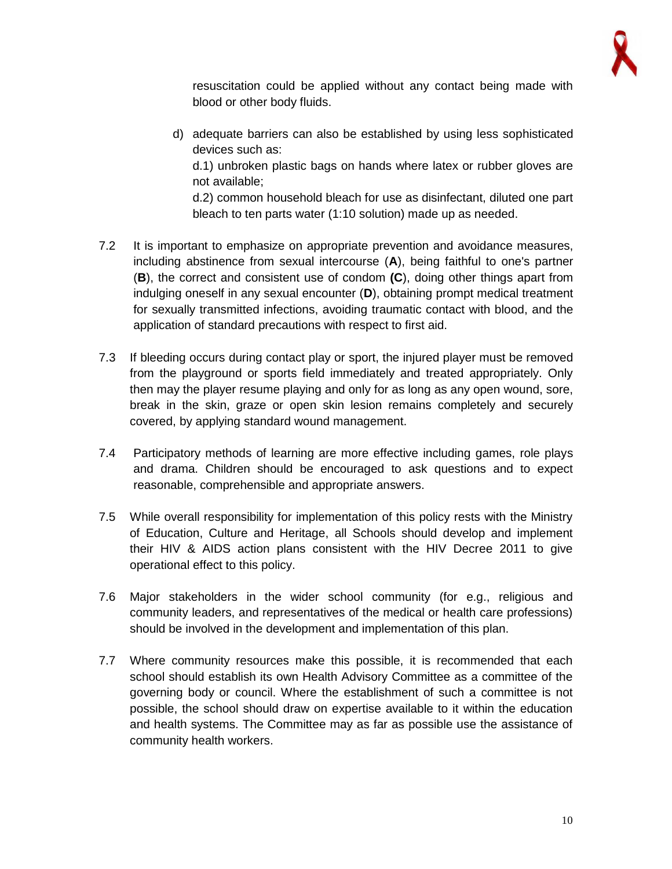

resuscitation could be applied without any contact being made with blood or other body fluids.

d) adequate barriers can also be established by using less sophisticated devices such as:

d.1) unbroken plastic bags on hands where latex or rubber gloves are not available;

d.2) common household bleach for use as disinfectant, diluted one part bleach to ten parts water (1:10 solution) made up as needed.

- 7.2 It is important to emphasize on appropriate prevention and avoidance measures, including abstinence from sexual intercourse (**A**), being faithful to one's partner (**B**), the correct and consistent use of condom **(C**), doing other things apart from indulging oneself in any sexual encounter (**D**), obtaining prompt medical treatment for sexually transmitted infections, avoiding traumatic contact with blood, and the application of standard precautions with respect to first aid.
- 7.3 If bleeding occurs during contact play or sport, the injured player must be removed from the playground or sports field immediately and treated appropriately. Only then may the player resume playing and only for as long as any open wound, sore, break in the skin, graze or open skin lesion remains completely and securely covered, by applying standard wound management.
- 7.4 Participatory methods of learning are more effective including games, role plays and drama. Children should be encouraged to ask questions and to expect reasonable, comprehensible and appropriate answers.
- 7.5 While overall responsibility for implementation of this policy rests with the Ministry of Education, Culture and Heritage, all Schools should develop and implement their HIV & AIDS action plans consistent with the HIV Decree 2011 to give operational effect to this policy.
- 7.6 Major stakeholders in the wider school community (for e.g., religious and community leaders, and representatives of the medical or health care professions) should be involved in the development and implementation of this plan.
- 7.7 Where community resources make this possible, it is recommended that each school should establish its own Health Advisory Committee as a committee of the governing body or council. Where the establishment of such a committee is not possible, the school should draw on expertise available to it within the education and health systems. The Committee may as far as possible use the assistance of community health workers.